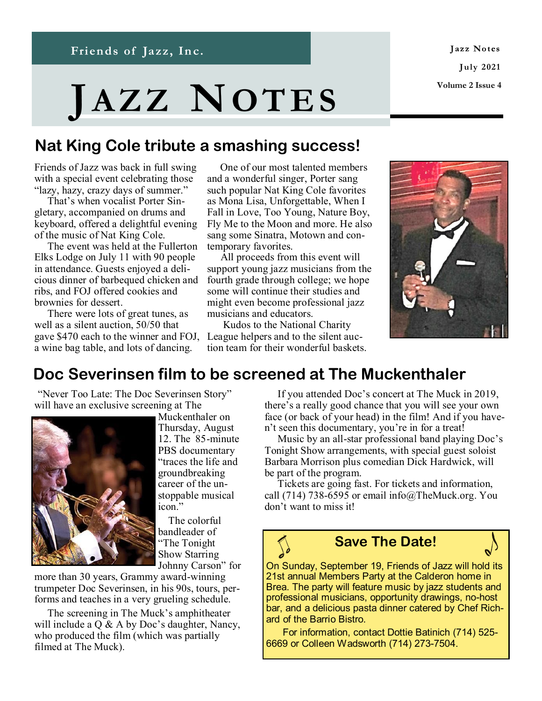Jazz Notes **Ju ly 2021 Volume 2 Issue 4**

# **JA Z Z NOT E S**

**News and Notes from Friends of Jazz, Inc.**

## **Nat King Cole tribute a smashing success!**

Friends of Jazz was back in full swing with a special event celebrating those "lazy, hazy, crazy days of summer."

 That's when vocalist Porter Singletary, accompanied on drums and keyboard, offered a delightful evening of the music of Nat King Cole.

 The event was held at the Fullerton Elks Lodge on July 11 with 90 people in attendance. Guests enjoyed a delicious dinner of barbequed chicken and ribs, and FOJ offered cookies and brownies for dessert.

 There were lots of great tunes, as well as a silent auction, 50/50 that gave \$470 each to the winner and FOJ, a wine bag table, and lots of dancing.

 One of our most talented members and a wonderful singer, Porter sang such popular Nat King Cole favorites as Mona Lisa, Unforgettable, When I Fall in Love, Too Young, Nature Boy, Fly Me to the Moon and more. He also sang some Sinatra, Motown and contemporary favorites.

 All proceeds from this event will support young jazz musicians from the fourth grade through college; we hope some will continue their studies and might even become professional jazz musicians and educators.

 Kudos to the National Charity League helpers and to the silent auction team for their wonderful baskets.



## **Doc Severinsen film to be screened at The Muckenthaler**

"Never Too Late: The Doc Severinsen Story" will have an exclusive screening at The



Muckenthaler on Thursday, August 12. The 85-minute PBS documentary "traces the life and groundbreaking career of the unstoppable musical icon."

 The colorful bandleader of "The Tonight Show Starring Johnny Carson" for

more than 30 years, Grammy award-winning trumpeter Doc Severinsen, in his 90s, tours, performs and teaches in a very grueling schedule.

 The screening in The Muck's amphitheater will include a  $Q \& A$  by Doc's daughter, Nancy, who produced the film (which was partially filmed at The Muck).

 If you attended Doc's concert at The Muck in 2019, there's a really good chance that you will see your own face (or back of your head) in the film! And if you haven't seen this documentary, you're in for a treat!

 Music by an all-star professional band playing Doc's Tonight Show arrangements, with special guest soloist Barbara Morrison plus comedian Dick Hardwick, will be part of the program.

 Tickets are going fast. For tickets and information, call (714) 738-6595 or email info@TheMuck.org. You don't want to miss it!

## **Save The Date!**

On Sunday, September 19, Friends of Jazz will hold its 21st annual Members Party at the Calderon home in Brea. The party will feature music by jazz students and professional musicians, opportunity drawings, no-host bar, and a delicious pasta dinner catered by Chef Richard of the Barrio Bistro.

 For information, contact Dottie Batinich (714) 525- 6669 or Colleen Wadsworth (714) 273-7504.